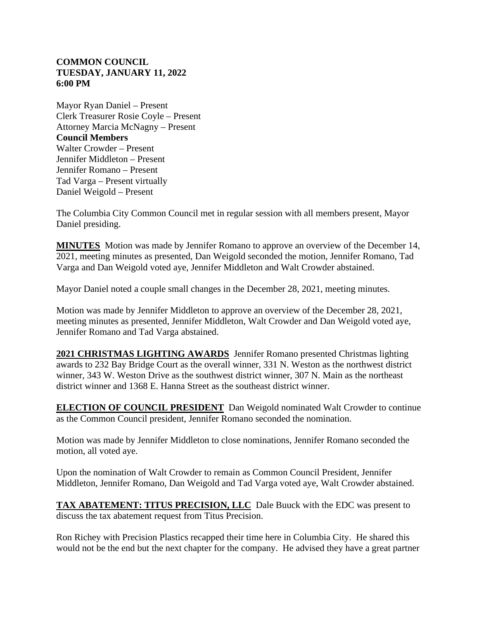## **COMMON COUNCIL TUESDAY, JANUARY 11, 2022 6:00 PM**

Mayor Ryan Daniel – Present Clerk Treasurer Rosie Coyle – Present Attorney Marcia McNagny – Present **Council Members** Walter Crowder – Present Jennifer Middleton – Present Jennifer Romano – Present Tad Varga – Present virtually Daniel Weigold – Present

The Columbia City Common Council met in regular session with all members present, Mayor Daniel presiding.

**MINUTES** Motion was made by Jennifer Romano to approve an overview of the December 14, 2021, meeting minutes as presented, Dan Weigold seconded the motion, Jennifer Romano, Tad Varga and Dan Weigold voted aye, Jennifer Middleton and Walt Crowder abstained.

Mayor Daniel noted a couple small changes in the December 28, 2021, meeting minutes.

Motion was made by Jennifer Middleton to approve an overview of the December 28, 2021, meeting minutes as presented, Jennifer Middleton, Walt Crowder and Dan Weigold voted aye, Jennifer Romano and Tad Varga abstained.

**2021 CHRISTMAS LIGHTING AWARDS** Jennifer Romano presented Christmas lighting awards to 232 Bay Bridge Court as the overall winner, 331 N. Weston as the northwest district winner, 343 W. Weston Drive as the southwest district winner, 307 N. Main as the northeast district winner and 1368 E. Hanna Street as the southeast district winner.

**ELECTION OF COUNCIL PRESIDENT** Dan Weigold nominated Walt Crowder to continue as the Common Council president, Jennifer Romano seconded the nomination.

Motion was made by Jennifer Middleton to close nominations, Jennifer Romano seconded the motion, all voted aye.

Upon the nomination of Walt Crowder to remain as Common Council President, Jennifer Middleton, Jennifer Romano, Dan Weigold and Tad Varga voted aye, Walt Crowder abstained.

**TAX ABATEMENT: TITUS PRECISION, LLC** Dale Buuck with the EDC was present to discuss the tax abatement request from Titus Precision.

Ron Richey with Precision Plastics recapped their time here in Columbia City. He shared this would not be the end but the next chapter for the company. He advised they have a great partner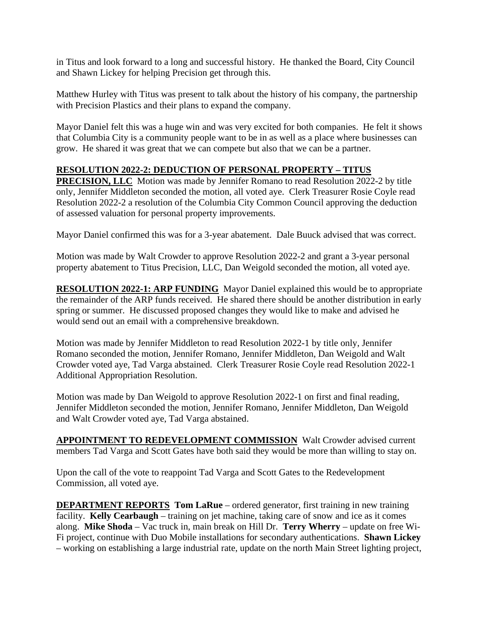in Titus and look forward to a long and successful history. He thanked the Board, City Council and Shawn Lickey for helping Precision get through this.

Matthew Hurley with Titus was present to talk about the history of his company, the partnership with Precision Plastics and their plans to expand the company.

Mayor Daniel felt this was a huge win and was very excited for both companies. He felt it shows that Columbia City is a community people want to be in as well as a place where businesses can grow. He shared it was great that we can compete but also that we can be a partner.

## **RESOLUTION 2022-2: DEDUCTION OF PERSONAL PROPERTY – TITUS**

**PRECISION, LLC** Motion was made by Jennifer Romano to read Resolution 2022-2 by title only, Jennifer Middleton seconded the motion, all voted aye. Clerk Treasurer Rosie Coyle read Resolution 2022-2 a resolution of the Columbia City Common Council approving the deduction of assessed valuation for personal property improvements.

Mayor Daniel confirmed this was for a 3-year abatement. Dale Buuck advised that was correct.

Motion was made by Walt Crowder to approve Resolution 2022-2 and grant a 3-year personal property abatement to Titus Precision, LLC, Dan Weigold seconded the motion, all voted aye.

**RESOLUTION 2022-1: ARP FUNDING** Mayor Daniel explained this would be to appropriate the remainder of the ARP funds received. He shared there should be another distribution in early spring or summer. He discussed proposed changes they would like to make and advised he would send out an email with a comprehensive breakdown.

Motion was made by Jennifer Middleton to read Resolution 2022-1 by title only, Jennifer Romano seconded the motion, Jennifer Romano, Jennifer Middleton, Dan Weigold and Walt Crowder voted aye, Tad Varga abstained. Clerk Treasurer Rosie Coyle read Resolution 2022-1 Additional Appropriation Resolution.

Motion was made by Dan Weigold to approve Resolution 2022-1 on first and final reading, Jennifer Middleton seconded the motion, Jennifer Romano, Jennifer Middleton, Dan Weigold and Walt Crowder voted aye, Tad Varga abstained.

**APPOINTMENT TO REDEVELOPMENT COMMISSION** Walt Crowder advised current members Tad Varga and Scott Gates have both said they would be more than willing to stay on.

Upon the call of the vote to reappoint Tad Varga and Scott Gates to the Redevelopment Commission, all voted aye.

**DEPARTMENT REPORTS Tom LaRue** – ordered generator, first training in new training facility. **Kelly Cearbaugh** – training on jet machine, taking care of snow and ice as it comes along. **Mike Shoda** – Vac truck in, main break on Hill Dr. **Terry Wherry** – update on free Wi-Fi project, continue with Duo Mobile installations for secondary authentications. **Shawn Lickey** – working on establishing a large industrial rate, update on the north Main Street lighting project,